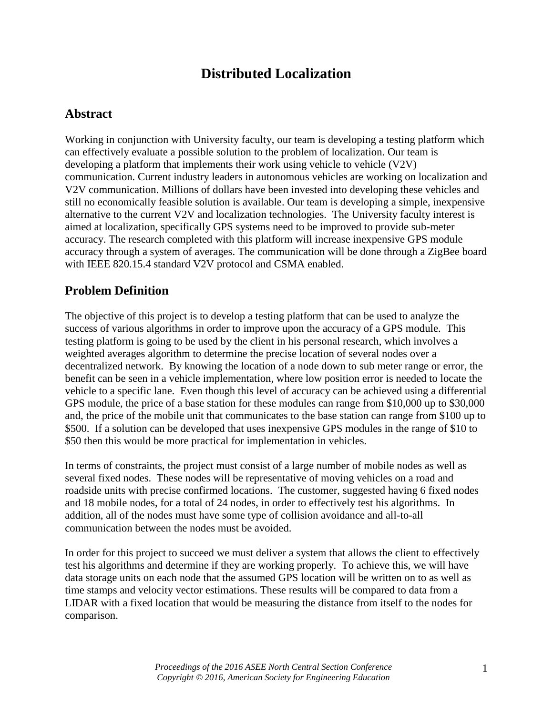# **Distributed Localization**

#### **Abstract**

Working in conjunction with University faculty, our team is developing a testing platform which can effectively evaluate a possible solution to the problem of localization. Our team is developing a platform that implements their work using vehicle to vehicle (V2V) communication. Current industry leaders in autonomous vehicles are working on localization and V2V communication. Millions of dollars have been invested into developing these vehicles and still no economically feasible solution is available. Our team is developing a simple, inexpensive alternative to the current V2V and localization technologies. The University faculty interest is aimed at localization, specifically GPS systems need to be improved to provide sub-meter accuracy. The research completed with this platform will increase inexpensive GPS module accuracy through a system of averages. The communication will be done through a ZigBee board with IEEE 820.15.4 standard V2V protocol and CSMA enabled.

#### **Problem Definition**

The objective of this project is to develop a testing platform that can be used to analyze the success of various algorithms in order to improve upon the accuracy of a GPS module. This testing platform is going to be used by the client in his personal research, which involves a weighted averages algorithm to determine the precise location of several nodes over a decentralized network. By knowing the location of a node down to sub meter range or error, the benefit can be seen in a vehicle implementation, where low position error is needed to locate the vehicle to a specific lane. Even though this level of accuracy can be achieved using a differential GPS module, the price of a base station for these modules can range from \$10,000 up to \$30,000 and, the price of the mobile unit that communicates to the base station can range from \$100 up to \$500. If a solution can be developed that uses inexpensive GPS modules in the range of \$10 to \$50 then this would be more practical for implementation in vehicles.

In terms of constraints, the project must consist of a large number of mobile nodes as well as several fixed nodes. These nodes will be representative of moving vehicles on a road and roadside units with precise confirmed locations. The customer, suggested having 6 fixed nodes and 18 mobile nodes, for a total of 24 nodes, in order to effectively test his algorithms. In addition, all of the nodes must have some type of collision avoidance and all-to-all communication between the nodes must be avoided.

In order for this project to succeed we must deliver a system that allows the client to effectively test his algorithms and determine if they are working properly. To achieve this, we will have data storage units on each node that the assumed GPS location will be written on to as well as time stamps and velocity vector estimations. These results will be compared to data from a LIDAR with a fixed location that would be measuring the distance from itself to the nodes for comparison.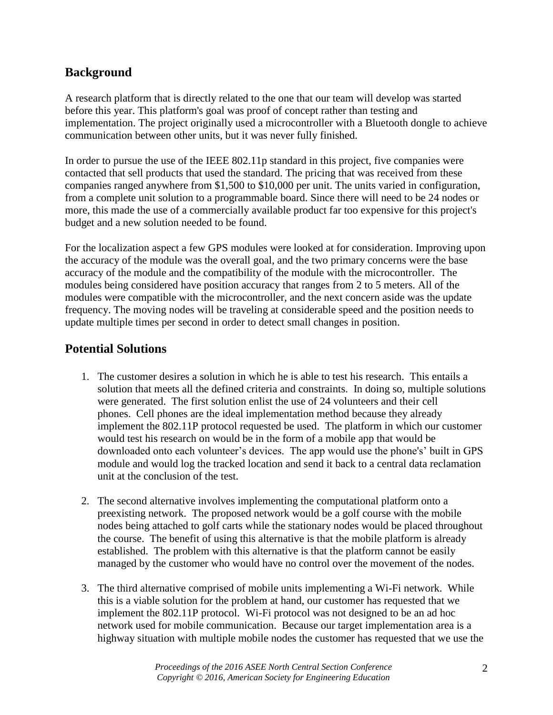#### **Background**

A research platform that is directly related to the one that our team will develop was started before this year. This platform's goal was proof of concept rather than testing and implementation. The project originally used a microcontroller with a Bluetooth dongle to achieve communication between other units, but it was never fully finished.

In order to pursue the use of the IEEE 802.11p standard in this project, five companies were contacted that sell products that used the standard. The pricing that was received from these companies ranged anywhere from \$1,500 to \$10,000 per unit. The units varied in configuration, from a complete unit solution to a programmable board. Since there will need to be 24 nodes or more, this made the use of a commercially available product far too expensive for this project's budget and a new solution needed to be found.

For the localization aspect a few GPS modules were looked at for consideration. Improving upon the accuracy of the module was the overall goal, and the two primary concerns were the base accuracy of the module and the compatibility of the module with the microcontroller. The modules being considered have position accuracy that ranges from 2 to 5 meters. All of the modules were compatible with the microcontroller, and the next concern aside was the update frequency. The moving nodes will be traveling at considerable speed and the position needs to update multiple times per second in order to detect small changes in position.

### **Potential Solutions**

- 1. The customer desires a solution in which he is able to test his research. This entails a solution that meets all the defined criteria and constraints. In doing so, multiple solutions were generated. The first solution enlist the use of 24 volunteers and their cell phones. Cell phones are the ideal implementation method because they already implement the 802.11P protocol requested be used. The platform in which our customer would test his research on would be in the form of a mobile app that would be downloaded onto each volunteer's devices. The app would use the phone's' built in GPS module and would log the tracked location and send it back to a central data reclamation unit at the conclusion of the test.
- 2. The second alternative involves implementing the computational platform onto a preexisting network. The proposed network would be a golf course with the mobile nodes being attached to golf carts while the stationary nodes would be placed throughout the course. The benefit of using this alternative is that the mobile platform is already established. The problem with this alternative is that the platform cannot be easily managed by the customer who would have no control over the movement of the nodes.
- 3. The third alternative comprised of mobile units implementing a Wi-Fi network. While this is a viable solution for the problem at hand, our customer has requested that we implement the 802.11P protocol. Wi-Fi protocol was not designed to be an ad hoc network used for mobile communication. Because our target implementation area is a highway situation with multiple mobile nodes the customer has requested that we use the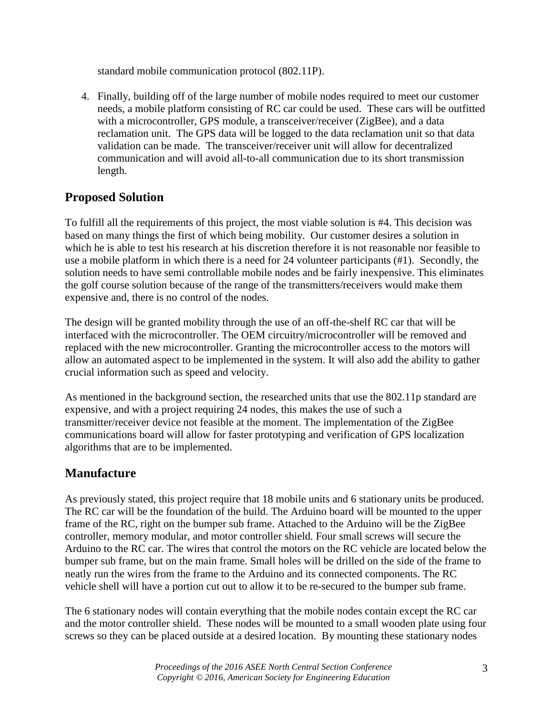standard mobile communication protocol (802.11P).

4. Finally, building off of the large number of mobile nodes required to meet our customer needs, a mobile platform consisting of RC car could be used. These cars will be outfitted with a microcontroller, GPS module, a transceiver/receiver (ZigBee), and a data reclamation unit. The GPS data will be logged to the data reclamation unit so that data validation can be made. The transceiver/receiver unit will allow for decentralized communication and will avoid all-to-all communication due to its short transmission length.

#### **Proposed Solution**

To fulfill all the requirements of this project, the most viable solution is #4. This decision was based on many things the first of which being mobility. Our customer desires a solution in which he is able to test his research at his discretion therefore it is not reasonable nor feasible to use a mobile platform in which there is a need for 24 volunteer participants (#1). Secondly, the solution needs to have semi controllable mobile nodes and be fairly inexpensive. This eliminates the golf course solution because of the range of the transmitters/receivers would make them expensive and, there is no control of the nodes.

The design will be granted mobility through the use of an off-the-shelf RC car that will be interfaced with the microcontroller. The OEM circuitry/microcontroller will be removed and replaced with the new microcontroller. Granting the microcontroller access to the motors will allow an automated aspect to be implemented in the system. It will also add the ability to gather crucial information such as speed and velocity.

As mentioned in the background section, the researched units that use the 802.11p standard are expensive, and with a project requiring 24 nodes, this makes the use of such a transmitter/receiver device not feasible at the moment. The implementation of the ZigBee communications board will allow for faster prototyping and verification of GPS localization algorithms that are to be implemented.

## **Manufacture**

As previously stated, this project require that 18 mobile units and 6 stationary units be produced. The RC car will be the foundation of the build. The Arduino board will be mounted to the upper frame of the RC, right on the bumper sub frame. Attached to the Arduino will be the ZigBee controller, memory modular, and motor controller shield. Four small screws will secure the Arduino to the RC car. The wires that control the motors on the RC vehicle are located below the bumper sub frame, but on the main frame. Small holes will be drilled on the side of the frame to neatly run the wires from the frame to the Arduino and its connected components. The RC vehicle shell will have a portion cut out to allow it to be re-secured to the bumper sub frame.

The 6 stationary nodes will contain everything that the mobile nodes contain except the RC car and the motor controller shield. These nodes will be mounted to a small wooden plate using four screws so they can be placed outside at a desired location. By mounting these stationary nodes